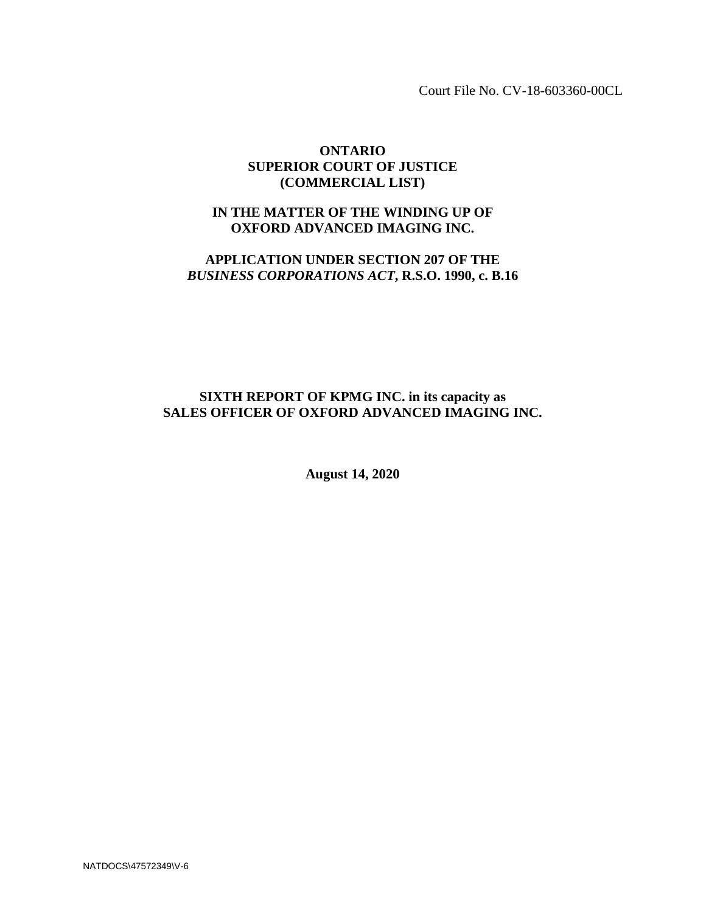Court File No. CV-18-603360-00CL

## **ONTARIO SUPERIOR COURT OF JUSTICE (COMMERCIAL LIST)**

# **IN THE MATTER OF THE WINDING UP OF OXFORD ADVANCED IMAGING INC.**

# **APPLICATION UNDER SECTION 207 OF THE** *BUSINESS CORPORATIONS ACT***, R.S.O. 1990, c. B.16**

# **SIXTH REPORT OF KPMG INC. in its capacity as SALES OFFICER OF OXFORD ADVANCED IMAGING INC.**

**August 14, 2020**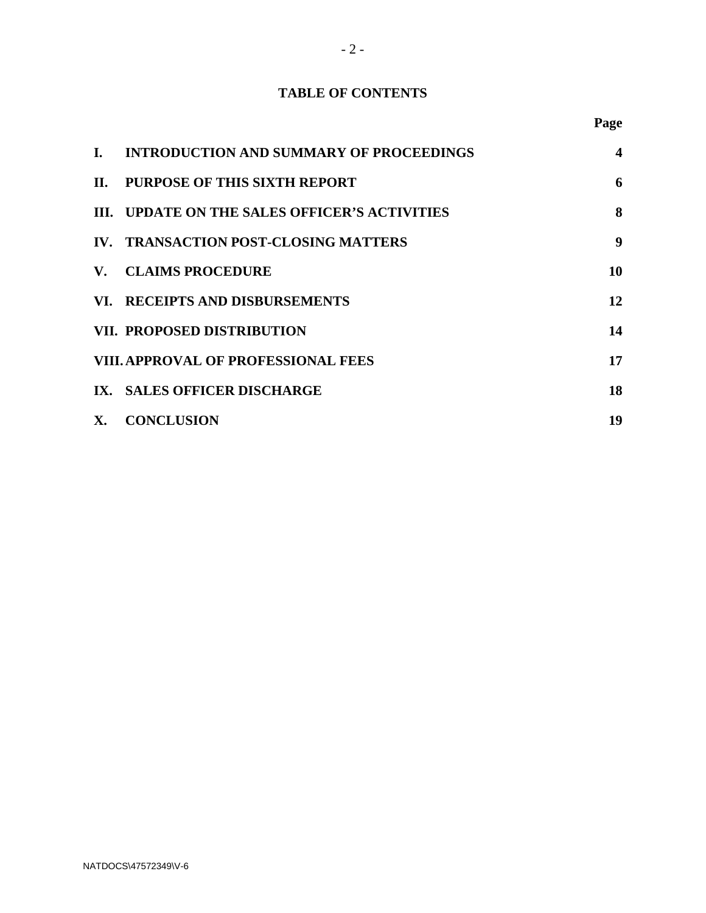# **TABLE OF CONTENTS**

**Page**

| I.        | <b>INTRODUCTION AND SUMMARY OF PROCEEDINGS</b> | 4                |
|-----------|------------------------------------------------|------------------|
|           | II. PURPOSE OF THIS SIXTH REPORT               | 6                |
|           | III. UPDATE ON THE SALES OFFICER'S ACTIVITIES  | 8                |
|           | IV. TRANSACTION POST-CLOSING MATTERS           | $\boldsymbol{9}$ |
|           | V. CLAIMS PROCEDURE                            | 10               |
|           | VI. RECEIPTS AND DISBURSEMENTS                 | 12               |
|           | <b>VII. PROPOSED DISTRIBUTION</b>              | 14               |
|           | <b>VIII. APPROVAL OF PROFESSIONAL FEES</b>     | 17               |
|           | IX. SALES OFFICER DISCHARGE                    | 18               |
| <b>X.</b> | <b>CONCLUSION</b>                              | 19               |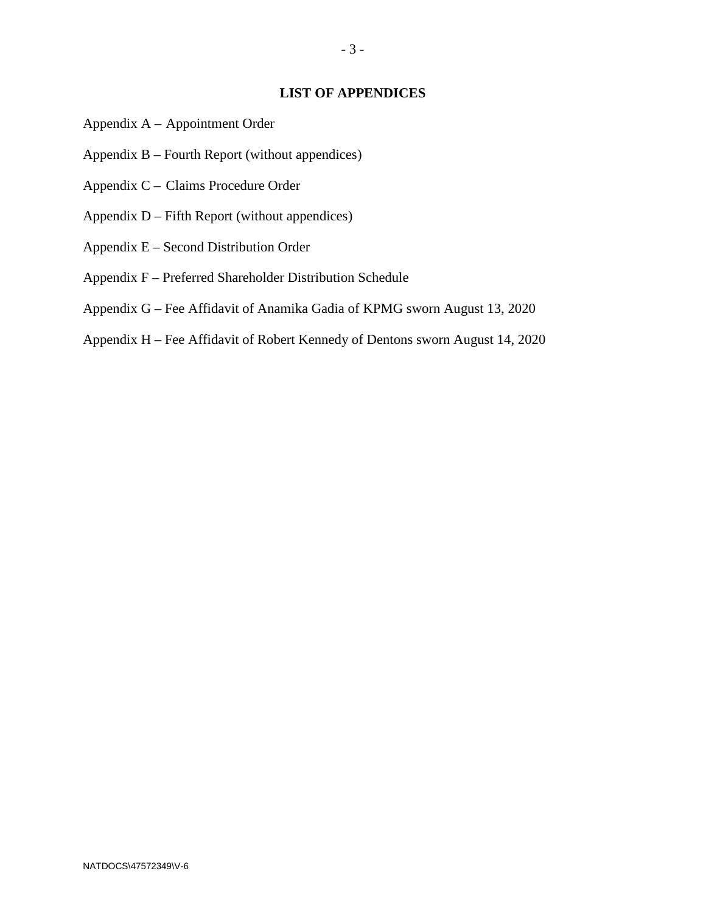#### **LIST OF APPENDICES**

- Appendix A Appointment Order
- Appendix B Fourth Report (without appendices)
- Appendix C Claims Procedure Order
- Appendix D Fifth Report (without appendices)
- Appendix E Second Distribution Order
- Appendix F Preferred Shareholder Distribution Schedule
- Appendix G Fee Affidavit of Anamika Gadia of KPMG sworn August 13, 2020
- Appendix H Fee Affidavit of Robert Kennedy of Dentons sworn August 14, 2020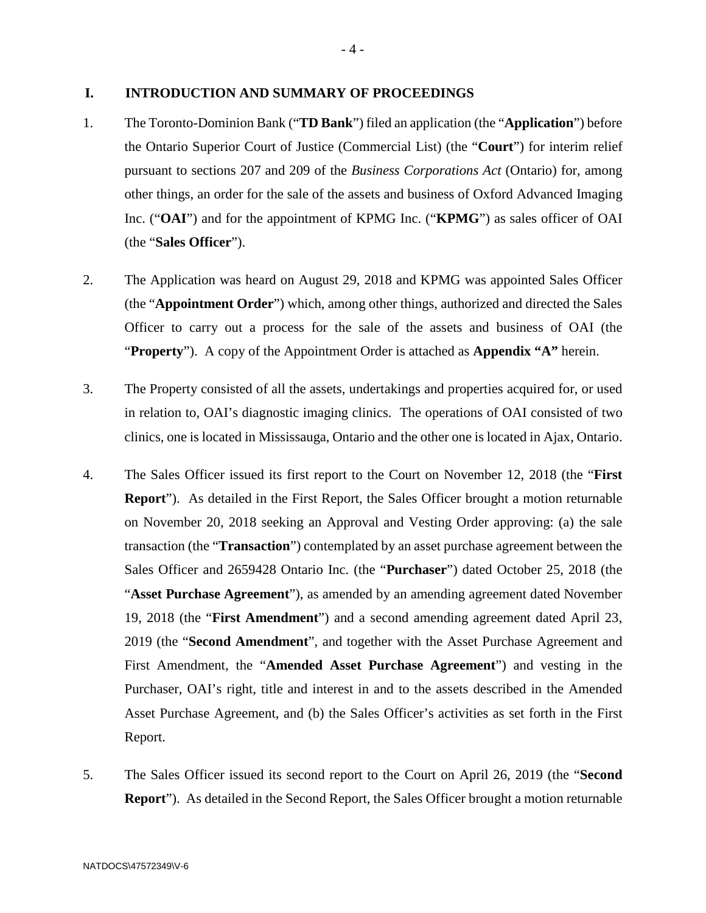#### **I. INTRODUCTION AND SUMMARY OF PROCEEDINGS**

- 1. The Toronto-Dominion Bank ("**TD Bank**") filed an application (the "**Application**") before the Ontario Superior Court of Justice (Commercial List) (the "**Court**") for interim relief pursuant to sections 207 and 209 of the *Business Corporations Act* (Ontario) for, among other things, an order for the sale of the assets and business of Oxford Advanced Imaging Inc. ("**OAI**") and for the appointment of KPMG Inc. ("**KPMG**") as sales officer of OAI (the "**Sales Officer**").
- 2. The Application was heard on August 29, 2018 and KPMG was appointed Sales Officer (the "**Appointment Order**") which, among other things, authorized and directed the Sales Officer to carry out a process for the sale of the assets and business of OAI (the "**Property**"). A copy of the Appointment Order is attached as **Appendix "A"** herein.
- 3. The Property consisted of all the assets, undertakings and properties acquired for, or used in relation to, OAI's diagnostic imaging clinics. The operations of OAI consisted of two clinics, one is located in Mississauga, Ontario and the other one is located in Ajax, Ontario.
- 4. The Sales Officer issued its first report to the Court on November 12, 2018 (the "**First Report**"). As detailed in the First Report, the Sales Officer brought a motion returnable on November 20, 2018 seeking an Approval and Vesting Order approving: (a) the sale transaction (the "**Transaction**") contemplated by an asset purchase agreement between the Sales Officer and 2659428 Ontario Inc. (the "**Purchaser**") dated October 25, 2018 (the "**Asset Purchase Agreement**"), as amended by an amending agreement dated November 19, 2018 (the "**First Amendment**") and a second amending agreement dated April 23, 2019 (the "**Second Amendment**", and together with the Asset Purchase Agreement and First Amendment, the "**Amended Asset Purchase Agreement**") and vesting in the Purchaser, OAI's right, title and interest in and to the assets described in the Amended Asset Purchase Agreement, and (b) the Sales Officer's activities as set forth in the First Report.
- 5. The Sales Officer issued its second report to the Court on April 26, 2019 (the "**Second Report**"). As detailed in the Second Report, the Sales Officer brought a motion returnable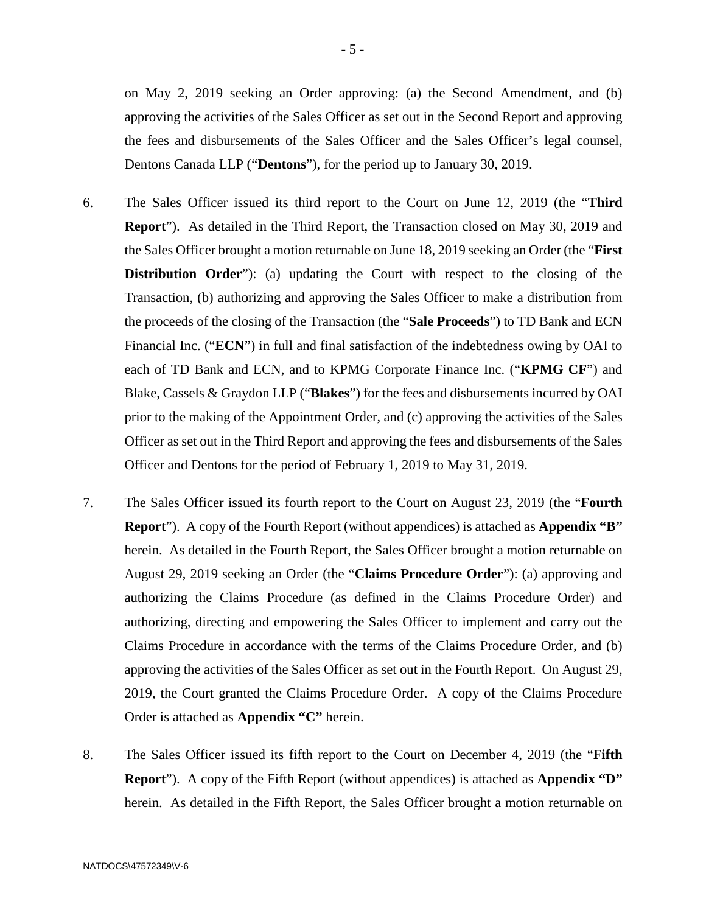on May 2, 2019 seeking an Order approving: (a) the Second Amendment, and (b) approving the activities of the Sales Officer as set out in the Second Report and approving the fees and disbursements of the Sales Officer and the Sales Officer's legal counsel, Dentons Canada LLP ("**Dentons**"), for the period up to January 30, 2019.

- 6. The Sales Officer issued its third report to the Court on June 12, 2019 (the "**Third Report**"). As detailed in the Third Report, the Transaction closed on May 30, 2019 and the Sales Officer brought a motion returnable on June 18, 2019 seeking an Order (the "**First Distribution Order**"): (a) updating the Court with respect to the closing of the Transaction, (b) authorizing and approving the Sales Officer to make a distribution from the proceeds of the closing of the Transaction (the "**Sale Proceeds**") to TD Bank and ECN Financial Inc. ("**ECN**") in full and final satisfaction of the indebtedness owing by OAI to each of TD Bank and ECN, and to KPMG Corporate Finance Inc. ("**KPMG CF**") and Blake, Cassels & Graydon LLP ("**Blakes**") for the fees and disbursements incurred by OAI prior to the making of the Appointment Order, and (c) approving the activities of the Sales Officer as set out in the Third Report and approving the fees and disbursements of the Sales Officer and Dentons for the period of February 1, 2019 to May 31, 2019.
- 7. The Sales Officer issued its fourth report to the Court on August 23, 2019 (the "**Fourth Report**"). A copy of the Fourth Report (without appendices) is attached as **Appendix "B"** herein. As detailed in the Fourth Report, the Sales Officer brought a motion returnable on August 29, 2019 seeking an Order (the "**Claims Procedure Order**"): (a) approving and authorizing the Claims Procedure (as defined in the Claims Procedure Order) and authorizing, directing and empowering the Sales Officer to implement and carry out the Claims Procedure in accordance with the terms of the Claims Procedure Order, and (b) approving the activities of the Sales Officer as set out in the Fourth Report. On August 29, 2019, the Court granted the Claims Procedure Order. A copy of the Claims Procedure Order is attached as **Appendix "C"** herein.
- 8. The Sales Officer issued its fifth report to the Court on December 4, 2019 (the "**Fifth Report**"). A copy of the Fifth Report (without appendices) is attached as **Appendix "D"** herein. As detailed in the Fifth Report, the Sales Officer brought a motion returnable on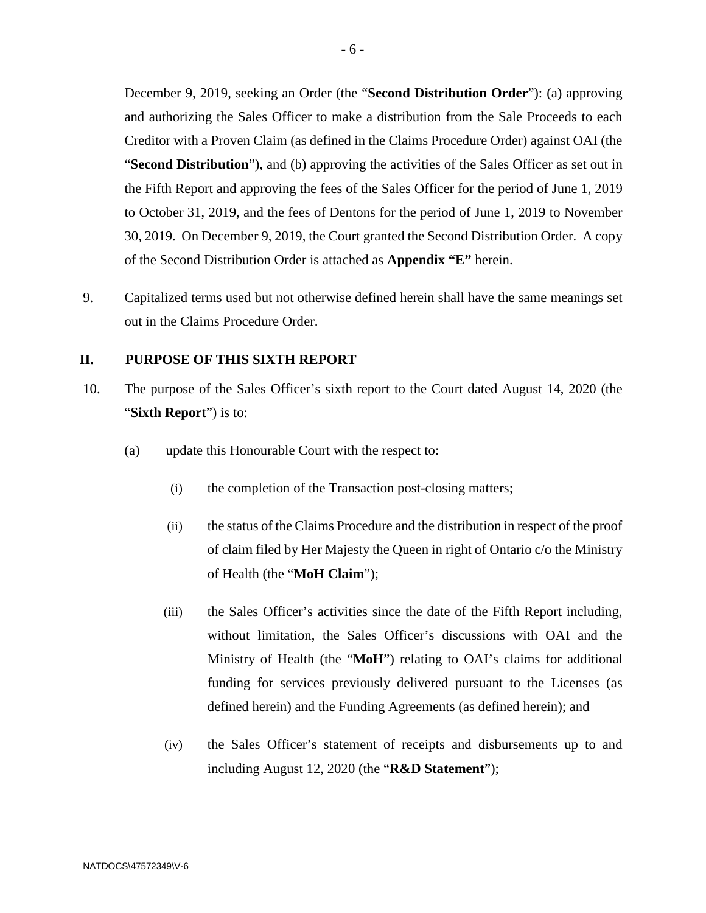December 9, 2019, seeking an Order (the "**Second Distribution Order**"): (a) approving and authorizing the Sales Officer to make a distribution from the Sale Proceeds to each Creditor with a Proven Claim (as defined in the Claims Procedure Order) against OAI (the "**Second Distribution**"), and (b) approving the activities of the Sales Officer as set out in the Fifth Report and approving the fees of the Sales Officer for the period of June 1, 2019 to October 31, 2019, and the fees of Dentons for the period of June 1, 2019 to November 30, 2019. On December 9, 2019, the Court granted the Second Distribution Order. A copy of the Second Distribution Order is attached as **Appendix "E"** herein.

9. Capitalized terms used but not otherwise defined herein shall have the same meanings set out in the Claims Procedure Order.

#### **II. PURPOSE OF THIS SIXTH REPORT**

- 10. The purpose of the Sales Officer's sixth report to the Court dated August 14, 2020 (the "**Sixth Report**") is to:
	- (a) update this Honourable Court with the respect to:
		- (i) the completion of the Transaction post-closing matters;
		- (ii) the status of the Claims Procedure and the distribution in respect of the proof of claim filed by Her Majesty the Queen in right of Ontario c/o the Ministry of Health (the "**MoH Claim**");
		- (iii) the Sales Officer's activities since the date of the Fifth Report including, without limitation, the Sales Officer's discussions with OAI and the Ministry of Health (the "**MoH**") relating to OAI's claims for additional funding for services previously delivered pursuant to the Licenses (as defined herein) and the Funding Agreements (as defined herein); and
		- (iv) the Sales Officer's statement of receipts and disbursements up to and including August 12, 2020 (the "**R&D Statement**");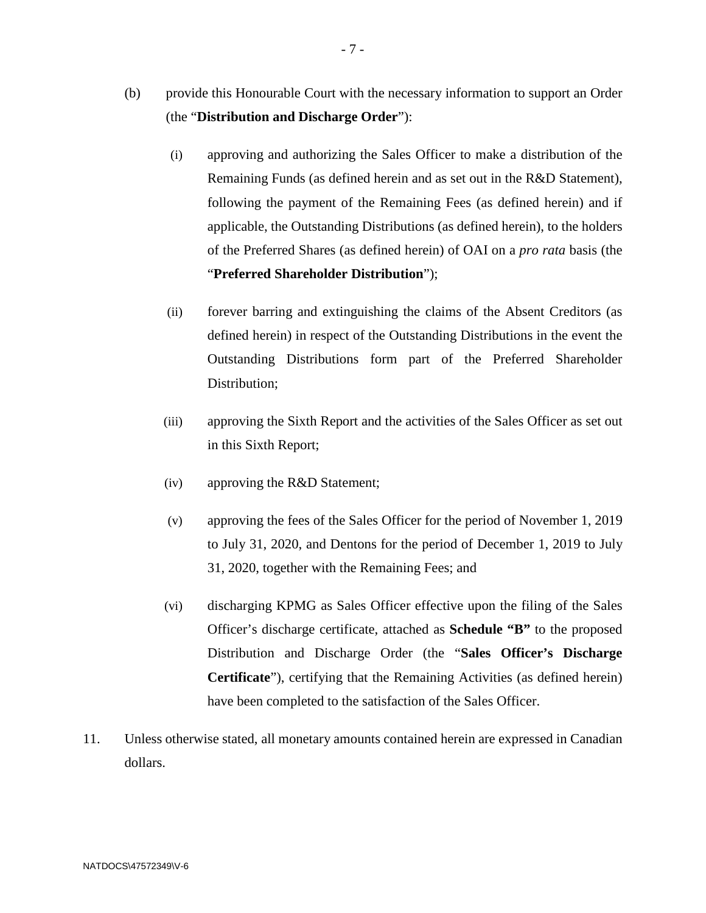- (b) provide this Honourable Court with the necessary information to support an Order (the "**Distribution and Discharge Order**"):
	- (i) approving and authorizing the Sales Officer to make a distribution of the Remaining Funds (as defined herein and as set out in the R&D Statement), following the payment of the Remaining Fees (as defined herein) and if applicable, the Outstanding Distributions (as defined herein), to the holders of the Preferred Shares (as defined herein) of OAI on a *pro rata* basis (the "**Preferred Shareholder Distribution**");
	- (ii) forever barring and extinguishing the claims of the Absent Creditors (as defined herein) in respect of the Outstanding Distributions in the event the Outstanding Distributions form part of the Preferred Shareholder Distribution;
	- (iii) approving the Sixth Report and the activities of the Sales Officer as set out in this Sixth Report;
	- (iv) approving the R&D Statement;
	- (v) approving the fees of the Sales Officer for the period of November 1, 2019 to July 31, 2020, and Dentons for the period of December 1, 2019 to July 31, 2020, together with the Remaining Fees; and
	- (vi) discharging KPMG as Sales Officer effective upon the filing of the Sales Officer's discharge certificate, attached as **Schedule "B"** to the proposed Distribution and Discharge Order (the "**Sales Officer's Discharge Certificate**"), certifying that the Remaining Activities (as defined herein) have been completed to the satisfaction of the Sales Officer.
- 11. Unless otherwise stated, all monetary amounts contained herein are expressed in Canadian dollars.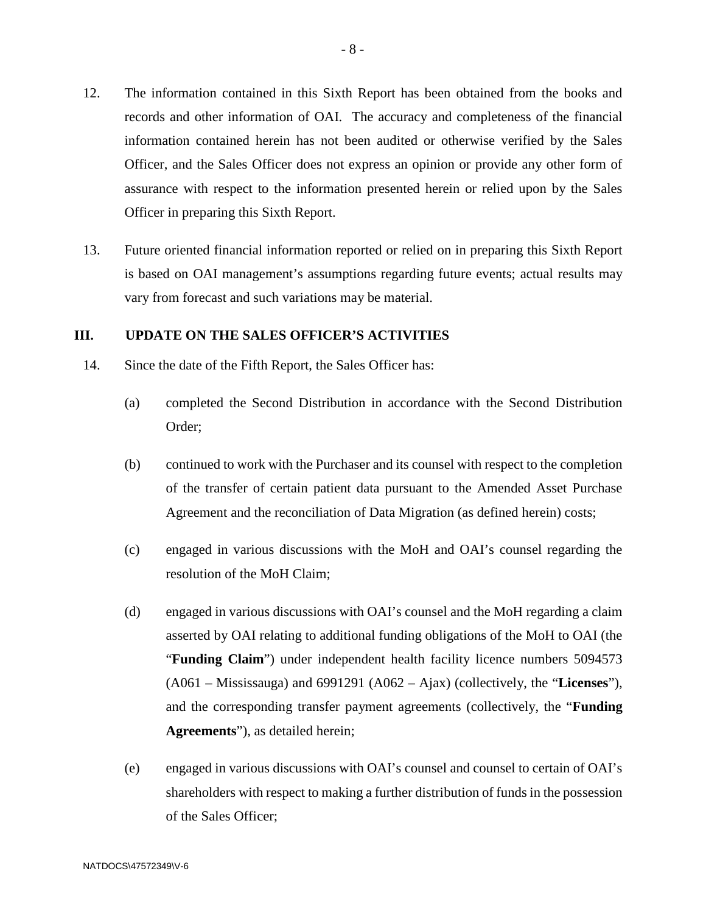- 12. The information contained in this Sixth Report has been obtained from the books and records and other information of OAI. The accuracy and completeness of the financial information contained herein has not been audited or otherwise verified by the Sales Officer, and the Sales Officer does not express an opinion or provide any other form of assurance with respect to the information presented herein or relied upon by the Sales Officer in preparing this Sixth Report.
- 13. Future oriented financial information reported or relied on in preparing this Sixth Report is based on OAI management's assumptions regarding future events; actual results may vary from forecast and such variations may be material.

#### **III. UPDATE ON THE SALES OFFICER'S ACTIVITIES**

- 14. Since the date of the Fifth Report, the Sales Officer has:
	- (a) completed the Second Distribution in accordance with the Second Distribution Order;
	- (b) continued to work with the Purchaser and its counsel with respect to the completion of the transfer of certain patient data pursuant to the Amended Asset Purchase Agreement and the reconciliation of Data Migration (as defined herein) costs;
	- (c) engaged in various discussions with the MoH and OAI's counsel regarding the resolution of the MoH Claim;
	- (d) engaged in various discussions with OAI's counsel and the MoH regarding a claim asserted by OAI relating to additional funding obligations of the MoH to OAI (the "**Funding Claim**") under independent health facility licence numbers 5094573 (A061 – Mississauga) and 6991291 (A062 – Ajax) (collectively, the "**Licenses**"), and the corresponding transfer payment agreements (collectively, the "**Funding Agreements**"), as detailed herein;
	- (e) engaged in various discussions with OAI's counsel and counsel to certain of OAI's shareholders with respect to making a further distribution of funds in the possession of the Sales Officer;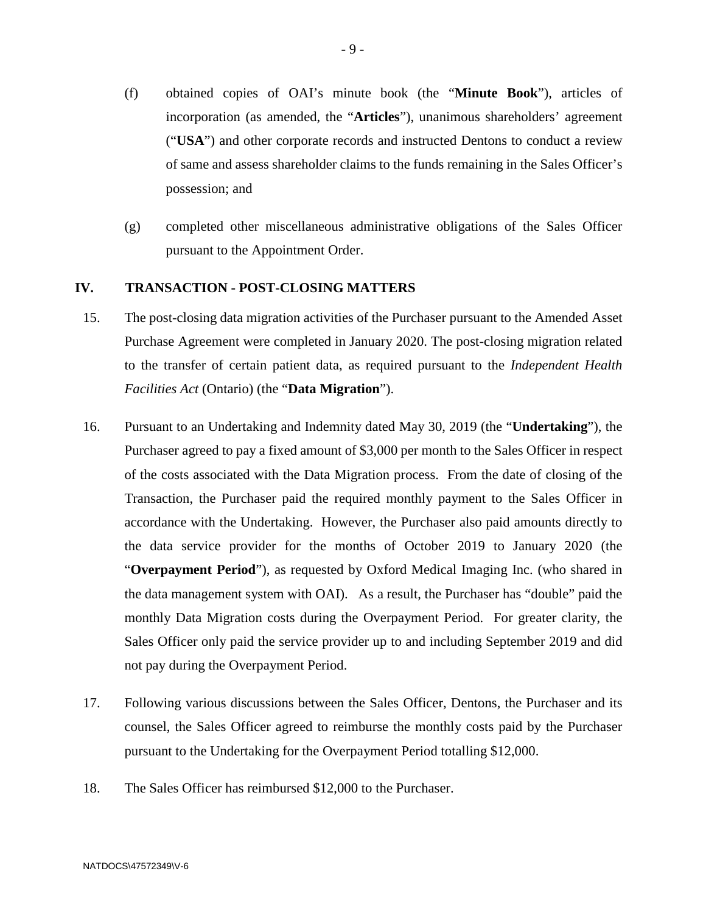- (f) obtained copies of OAI's minute book (the "**Minute Book**"), articles of incorporation (as amended, the "**Articles**"), unanimous shareholders' agreement ("**USA**") and other corporate records and instructed Dentons to conduct a review of same and assess shareholder claims to the funds remaining in the Sales Officer's possession; and
- (g) completed other miscellaneous administrative obligations of the Sales Officer pursuant to the Appointment Order.

## **IV. TRANSACTION - POST-CLOSING MATTERS**

- 15. The post-closing data migration activities of the Purchaser pursuant to the Amended Asset Purchase Agreement were completed in January 2020. The post-closing migration related to the transfer of certain patient data, as required pursuant to the *Independent Health Facilities Act* (Ontario) (the "**Data Migration**").
- 16. Pursuant to an Undertaking and Indemnity dated May 30, 2019 (the "**Undertaking**"), the Purchaser agreed to pay a fixed amount of \$3,000 per month to the Sales Officer in respect of the costs associated with the Data Migration process. From the date of closing of the Transaction, the Purchaser paid the required monthly payment to the Sales Officer in accordance with the Undertaking. However, the Purchaser also paid amounts directly to the data service provider for the months of October 2019 to January 2020 (the "**Overpayment Period**"), as requested by Oxford Medical Imaging Inc. (who shared in the data management system with OAI). As a result, the Purchaser has "double" paid the monthly Data Migration costs during the Overpayment Period. For greater clarity, the Sales Officer only paid the service provider up to and including September 2019 and did not pay during the Overpayment Period.
- 17. Following various discussions between the Sales Officer, Dentons, the Purchaser and its counsel, the Sales Officer agreed to reimburse the monthly costs paid by the Purchaser pursuant to the Undertaking for the Overpayment Period totalling \$12,000.
- 18. The Sales Officer has reimbursed \$12,000 to the Purchaser.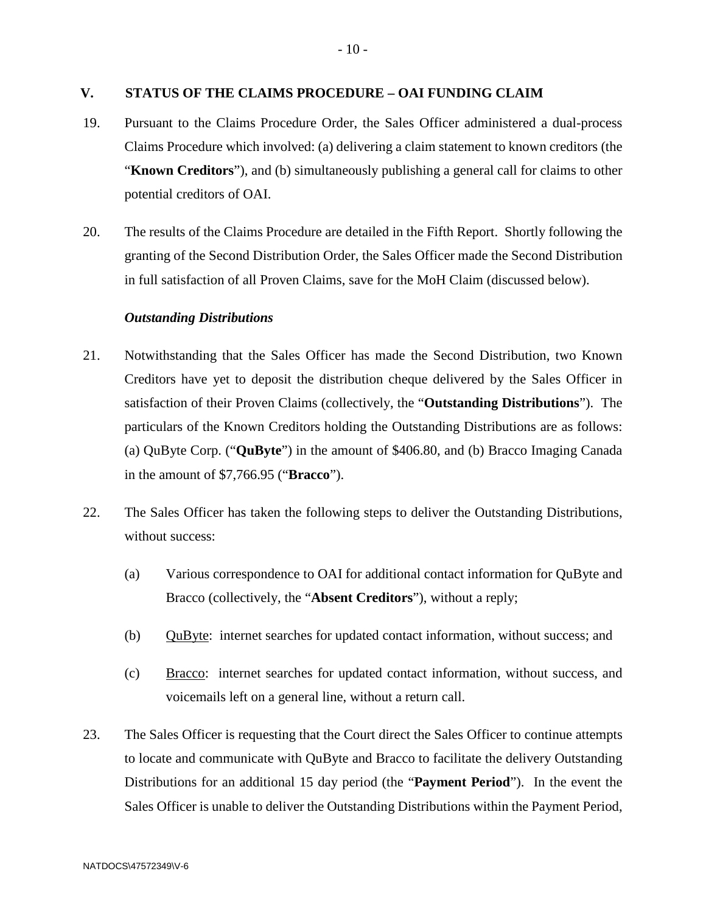#### **V. STATUS OF THE CLAIMS PROCEDURE – OAI FUNDING CLAIM**

- 19. Pursuant to the Claims Procedure Order, the Sales Officer administered a dual-process Claims Procedure which involved: (a) delivering a claim statement to known creditors (the "**Known Creditors**"), and (b) simultaneously publishing a general call for claims to other potential creditors of OAI.
- 20. The results of the Claims Procedure are detailed in the Fifth Report. Shortly following the granting of the Second Distribution Order, the Sales Officer made the Second Distribution in full satisfaction of all Proven Claims, save for the MoH Claim (discussed below).

## *Outstanding Distributions*

- 21. Notwithstanding that the Sales Officer has made the Second Distribution, two Known Creditors have yet to deposit the distribution cheque delivered by the Sales Officer in satisfaction of their Proven Claims (collectively, the "**Outstanding Distributions**"). The particulars of the Known Creditors holding the Outstanding Distributions are as follows: (a) QuByte Corp. ("**QuByte**") in the amount of \$406.80, and (b) Bracco Imaging Canada in the amount of \$7,766.95 ("**Bracco**").
- 22. The Sales Officer has taken the following steps to deliver the Outstanding Distributions, without success:
	- (a) Various correspondence to OAI for additional contact information for QuByte and Bracco (collectively, the "**Absent Creditors**"), without a reply;
	- (b) QuByte: internet searches for updated contact information, without success; and
	- (c) Bracco: internet searches for updated contact information, without success, and voicemails left on a general line, without a return call.
- 23. The Sales Officer is requesting that the Court direct the Sales Officer to continue attempts to locate and communicate with QuByte and Bracco to facilitate the delivery Outstanding Distributions for an additional 15 day period (the "**Payment Period**"). In the event the Sales Officer is unable to deliver the Outstanding Distributions within the Payment Period,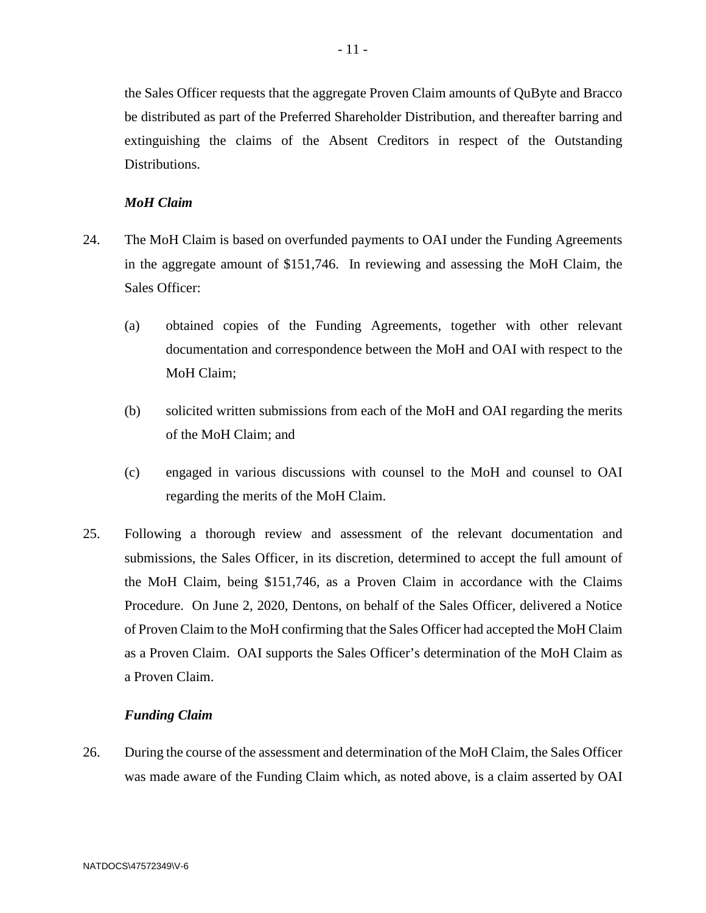the Sales Officer requests that the aggregate Proven Claim amounts of QuByte and Bracco be distributed as part of the Preferred Shareholder Distribution, and thereafter barring and extinguishing the claims of the Absent Creditors in respect of the Outstanding Distributions.

## *MoH Claim*

- 24. The MoH Claim is based on overfunded payments to OAI under the Funding Agreements in the aggregate amount of \$151,746. In reviewing and assessing the MoH Claim, the Sales Officer:
	- (a) obtained copies of the Funding Agreements, together with other relevant documentation and correspondence between the MoH and OAI with respect to the MoH Claim;
	- (b) solicited written submissions from each of the MoH and OAI regarding the merits of the MoH Claim; and
	- (c) engaged in various discussions with counsel to the MoH and counsel to OAI regarding the merits of the MoH Claim.
- 25. Following a thorough review and assessment of the relevant documentation and submissions, the Sales Officer, in its discretion, determined to accept the full amount of the MoH Claim, being \$151,746, as a Proven Claim in accordance with the Claims Procedure. On June 2, 2020, Dentons, on behalf of the Sales Officer, delivered a Notice of Proven Claim to the MoH confirming that the Sales Officer had accepted the MoH Claim as a Proven Claim. OAI supports the Sales Officer's determination of the MoH Claim as a Proven Claim.

#### *Funding Claim*

26. During the course of the assessment and determination of the MoH Claim, the Sales Officer was made aware of the Funding Claim which, as noted above, is a claim asserted by OAI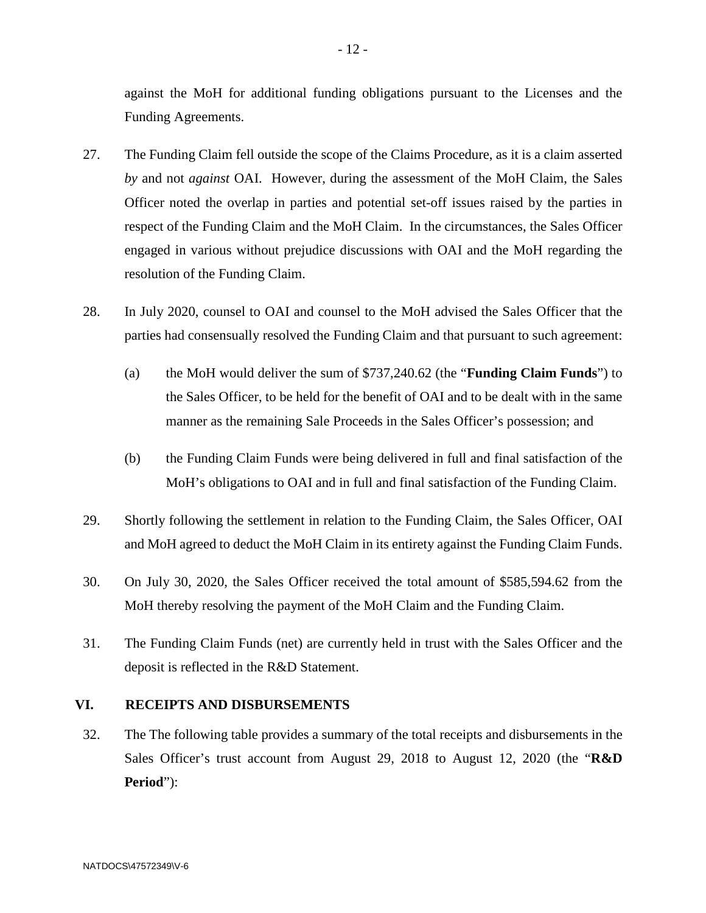against the MoH for additional funding obligations pursuant to the Licenses and the Funding Agreements.

- 27. The Funding Claim fell outside the scope of the Claims Procedure, as it is a claim asserted *by* and not *against* OAI. However, during the assessment of the MoH Claim, the Sales Officer noted the overlap in parties and potential set-off issues raised by the parties in respect of the Funding Claim and the MoH Claim. In the circumstances, the Sales Officer engaged in various without prejudice discussions with OAI and the MoH regarding the resolution of the Funding Claim.
- 28. In July 2020, counsel to OAI and counsel to the MoH advised the Sales Officer that the parties had consensually resolved the Funding Claim and that pursuant to such agreement:
	- (a) the MoH would deliver the sum of \$737,240.62 (the "**Funding Claim Funds**") to the Sales Officer, to be held for the benefit of OAI and to be dealt with in the same manner as the remaining Sale Proceeds in the Sales Officer's possession; and
	- (b) the Funding Claim Funds were being delivered in full and final satisfaction of the MoH's obligations to OAI and in full and final satisfaction of the Funding Claim.
- 29. Shortly following the settlement in relation to the Funding Claim, the Sales Officer, OAI and MoH agreed to deduct the MoH Claim in its entirety against the Funding Claim Funds.
- 30. On July 30, 2020, the Sales Officer received the total amount of \$585,594.62 from the MoH thereby resolving the payment of the MoH Claim and the Funding Claim.
- 31. The Funding Claim Funds (net) are currently held in trust with the Sales Officer and the deposit is reflected in the R&D Statement.

#### **VI. RECEIPTS AND DISBURSEMENTS**

32. The The following table provides a summary of the total receipts and disbursements in the Sales Officer's trust account from August 29, 2018 to August 12, 2020 (the "**R&D Period**"):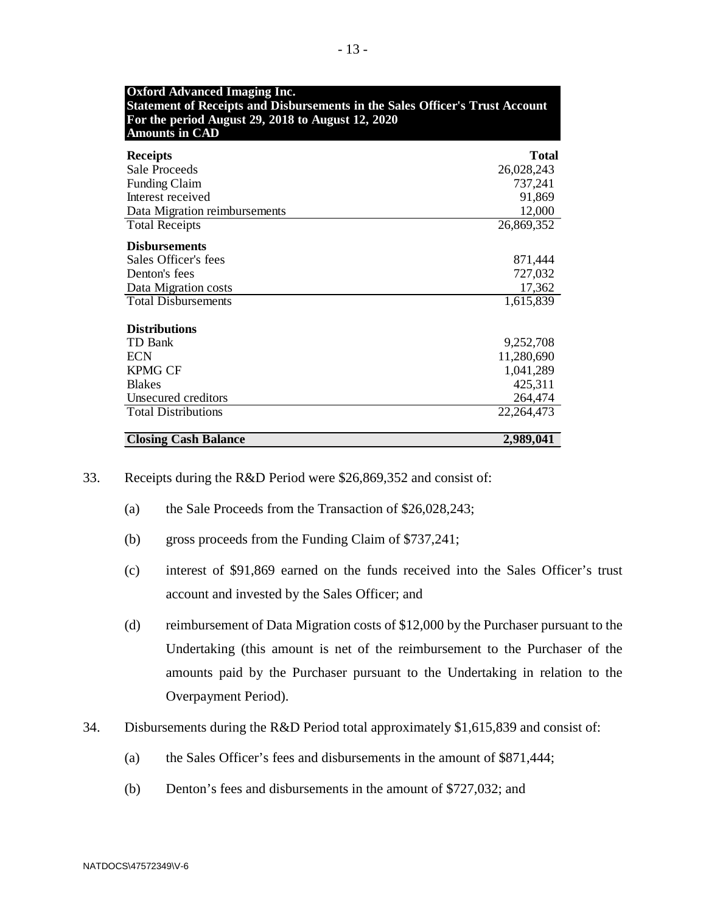| <b>Oxford Advanced Imaging Inc.</b><br><b>Statement of Receipts and Disbursements in the Sales Officer's Trust Account</b><br>For the period August 29, 2018 to August 12, 2020<br><b>Amounts in CAD</b> |            |  |  |
|----------------------------------------------------------------------------------------------------------------------------------------------------------------------------------------------------------|------------|--|--|
| <b>Receipts</b>                                                                                                                                                                                          | Total      |  |  |
| <b>Sale Proceeds</b>                                                                                                                                                                                     | 26,028,243 |  |  |
| <b>Funding Claim</b>                                                                                                                                                                                     | 737,241    |  |  |
| Interest received                                                                                                                                                                                        | 91,869     |  |  |
| Data Migration reimbursements                                                                                                                                                                            | 12,000     |  |  |
| <b>Total Receipts</b>                                                                                                                                                                                    | 26,869,352 |  |  |
| <b>Disbursements</b>                                                                                                                                                                                     |            |  |  |
| Sales Officer's fees                                                                                                                                                                                     | 871,444    |  |  |
| Denton's fees                                                                                                                                                                                            | 727,032    |  |  |
| Data Migration costs                                                                                                                                                                                     | 17,362     |  |  |
| <b>Total Disbursements</b>                                                                                                                                                                               | 1,615,839  |  |  |
| <b>Distributions</b>                                                                                                                                                                                     |            |  |  |
| <b>TD</b> Bank                                                                                                                                                                                           | 9,252,708  |  |  |
| <b>ECN</b>                                                                                                                                                                                               | 11,280,690 |  |  |
| <b>KPMG CF</b>                                                                                                                                                                                           | 1,041,289  |  |  |
| <b>Blakes</b>                                                                                                                                                                                            | 425,311    |  |  |
| Unsecured creditors                                                                                                                                                                                      | 264,474    |  |  |
| <b>Total Distributions</b>                                                                                                                                                                               | 22,264,473 |  |  |
| <b>Closing Cash Balance</b>                                                                                                                                                                              | 2,989,041  |  |  |

- 33. Receipts during the R&D Period were \$26,869,352 and consist of:
	- (a) the Sale Proceeds from the Transaction of \$26,028,243;
	- (b) gross proceeds from the Funding Claim of \$737,241;
	- (c) interest of \$91,869 earned on the funds received into the Sales Officer's trust account and invested by the Sales Officer; and
	- (d) reimbursement of Data Migration costs of \$12,000 by the Purchaser pursuant to the Undertaking (this amount is net of the reimbursement to the Purchaser of the amounts paid by the Purchaser pursuant to the Undertaking in relation to the Overpayment Period).
- 34. Disbursements during the R&D Period total approximately \$1,615,839 and consist of:
	- (a) the Sales Officer's fees and disbursements in the amount of \$871,444;
	- (b) Denton's fees and disbursements in the amount of \$727,032; and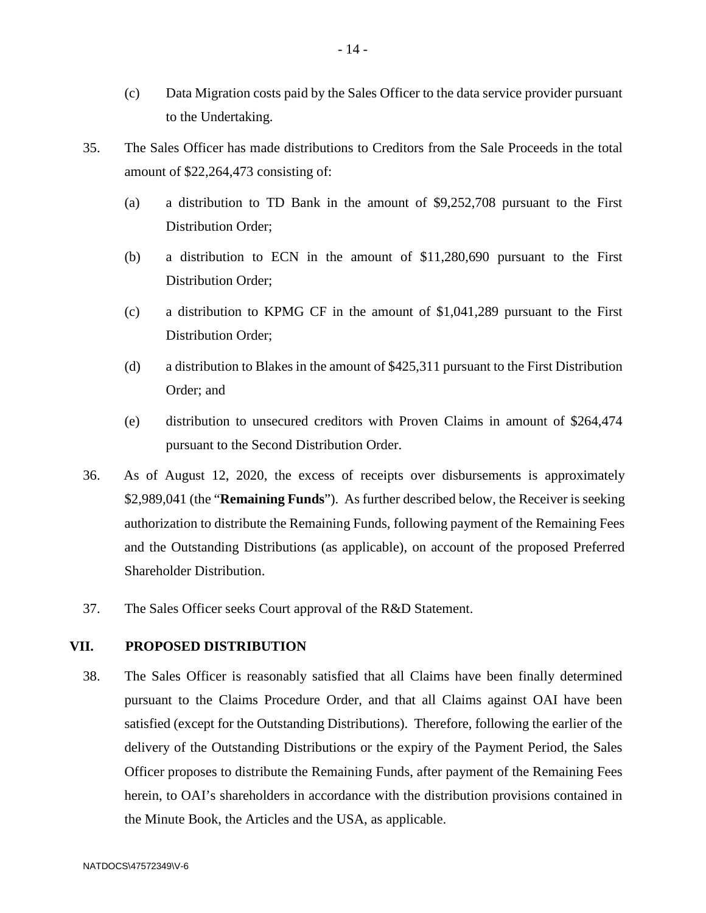- (c) Data Migration costs paid by the Sales Officer to the data service provider pursuant to the Undertaking.
- 35. The Sales Officer has made distributions to Creditors from the Sale Proceeds in the total amount of \$22,264,473 consisting of:
	- (a) a distribution to TD Bank in the amount of \$9,252,708 pursuant to the First Distribution Order;
	- (b) a distribution to ECN in the amount of \$11,280,690 pursuant to the First Distribution Order;
	- (c) a distribution to KPMG CF in the amount of \$1,041,289 pursuant to the First Distribution Order;
	- (d) a distribution to Blakes in the amount of \$425,311 pursuant to the First Distribution Order; and
	- (e) distribution to unsecured creditors with Proven Claims in amount of \$264,474 pursuant to the Second Distribution Order.
- 36. As of August 12, 2020, the excess of receipts over disbursements is approximately \$2,989,041 (the "**Remaining Funds**"). As further described below, the Receiver is seeking authorization to distribute the Remaining Funds, following payment of the Remaining Fees and the Outstanding Distributions (as applicable), on account of the proposed Preferred Shareholder Distribution.
- 37. The Sales Officer seeks Court approval of the R&D Statement.

# **VII. PROPOSED DISTRIBUTION**

38. The Sales Officer is reasonably satisfied that all Claims have been finally determined pursuant to the Claims Procedure Order, and that all Claims against OAI have been satisfied (except for the Outstanding Distributions). Therefore, following the earlier of the delivery of the Outstanding Distributions or the expiry of the Payment Period, the Sales Officer proposes to distribute the Remaining Funds, after payment of the Remaining Fees herein, to OAI's shareholders in accordance with the distribution provisions contained in the Minute Book, the Articles and the USA, as applicable.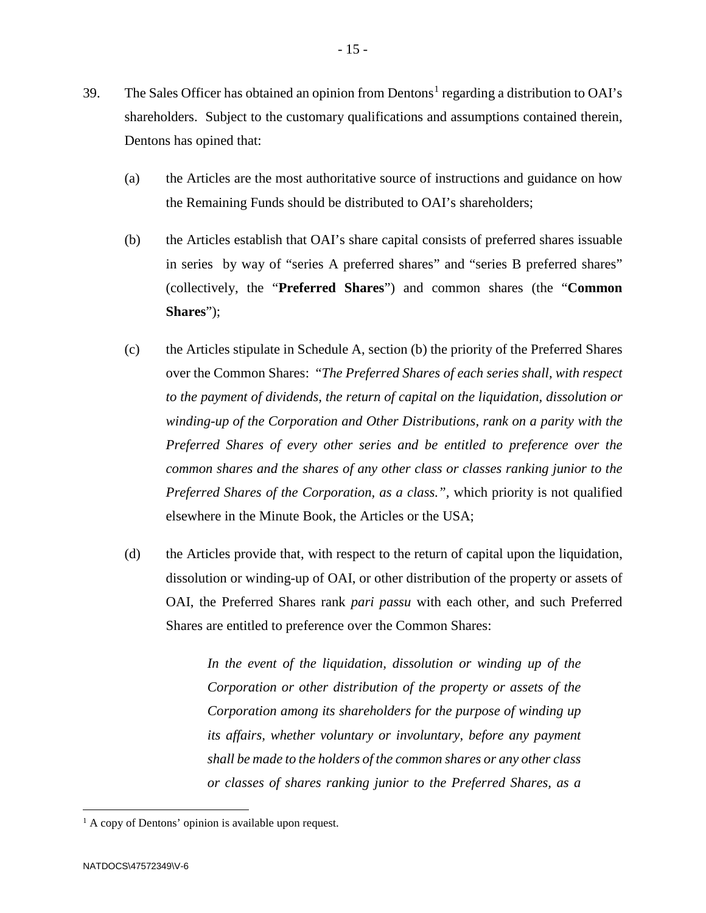- 39. The Sales Officer has obtained an opinion from Dentons<sup>[1](#page-14-0)</sup> regarding a distribution to OAI's shareholders. Subject to the customary qualifications and assumptions contained therein, Dentons has opined that:
	- (a) the Articles are the most authoritative source of instructions and guidance on how the Remaining Funds should be distributed to OAI's shareholders;
	- (b) the Articles establish that OAI's share capital consists of preferred shares issuable in series by way of "series A preferred shares" and "series B preferred shares" (collectively, the "**Preferred Shares**") and common shares (the "**Common Shares**");
	- (c) the Articles stipulate in Schedule A, section (b) the priority of the Preferred Shares over the Common Shares: "*The Preferred Shares of each series shall, with respect to the payment of dividends, the return of capital on the liquidation, dissolution or winding-up of the Corporation and Other Distributions, rank on a parity with the Preferred Shares of every other series and be entitled to preference over the common shares and the shares of any other class or classes ranking junior to the Preferred Shares of the Corporation, as a class.",* which priority is not qualified elsewhere in the Minute Book, the Articles or the USA;
	- (d) the Articles provide that, with respect to the return of capital upon the liquidation, dissolution or winding-up of OAI, or other distribution of the property or assets of OAI, the Preferred Shares rank *pari passu* with each other, and such Preferred Shares are entitled to preference over the Common Shares:

*In the event of the liquidation, dissolution or winding up of the Corporation or other distribution of the property or assets of the Corporation among its shareholders for the purpose of winding up its affairs, whether voluntary or involuntary, before any payment shall be made to the holders of the common shares or any other class or classes of shares ranking junior to the Preferred Shares, as a* 

<span id="page-14-0"></span><sup>&</sup>lt;sup>1</sup> A copy of Dentons' opinion is available upon request.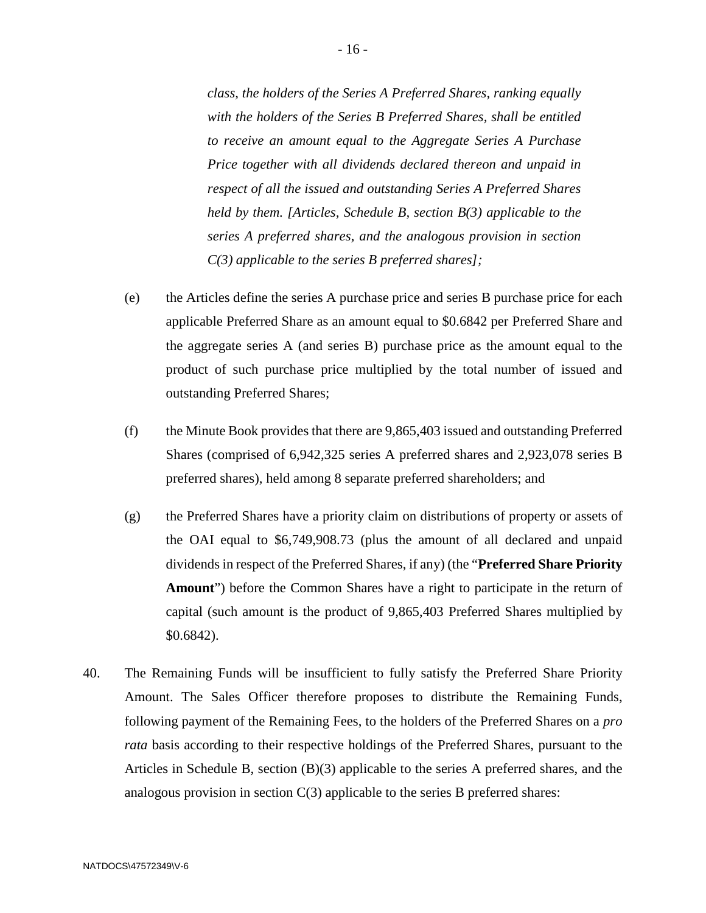*class, the holders of the Series A Preferred Shares, ranking equally with the holders of the Series B Preferred Shares, shall be entitled to receive an amount equal to the Aggregate Series A Purchase Price together with all dividends declared thereon and unpaid in respect of all the issued and outstanding Series A Preferred Shares held by them. [Articles, Schedule B, section B(3) applicable to the series A preferred shares, and the analogous provision in section C(3) applicable to the series B preferred shares];*

- (e) the Articles define the series A purchase price and series B purchase price for each applicable Preferred Share as an amount equal to \$0.6842 per Preferred Share and the aggregate series A (and series B) purchase price as the amount equal to the product of such purchase price multiplied by the total number of issued and outstanding Preferred Shares;
- (f) the Minute Book provides that there are 9,865,403 issued and outstanding Preferred Shares (comprised of 6,942,325 series A preferred shares and 2,923,078 series B preferred shares), held among 8 separate preferred shareholders; and
- (g) the Preferred Shares have a priority claim on distributions of property or assets of the OAI equal to \$6,749,908.73 (plus the amount of all declared and unpaid dividends in respect of the Preferred Shares, if any) (the "**Preferred Share Priority Amount**") before the Common Shares have a right to participate in the return of capital (such amount is the product of 9,865,403 Preferred Shares multiplied by \$0.6842).
- 40. The Remaining Funds will be insufficient to fully satisfy the Preferred Share Priority Amount. The Sales Officer therefore proposes to distribute the Remaining Funds, following payment of the Remaining Fees, to the holders of the Preferred Shares on a *pro rata* basis according to their respective holdings of the Preferred Shares, pursuant to the Articles in Schedule B, section (B)(3) applicable to the series A preferred shares, and the analogous provision in section  $C(3)$  applicable to the series B preferred shares: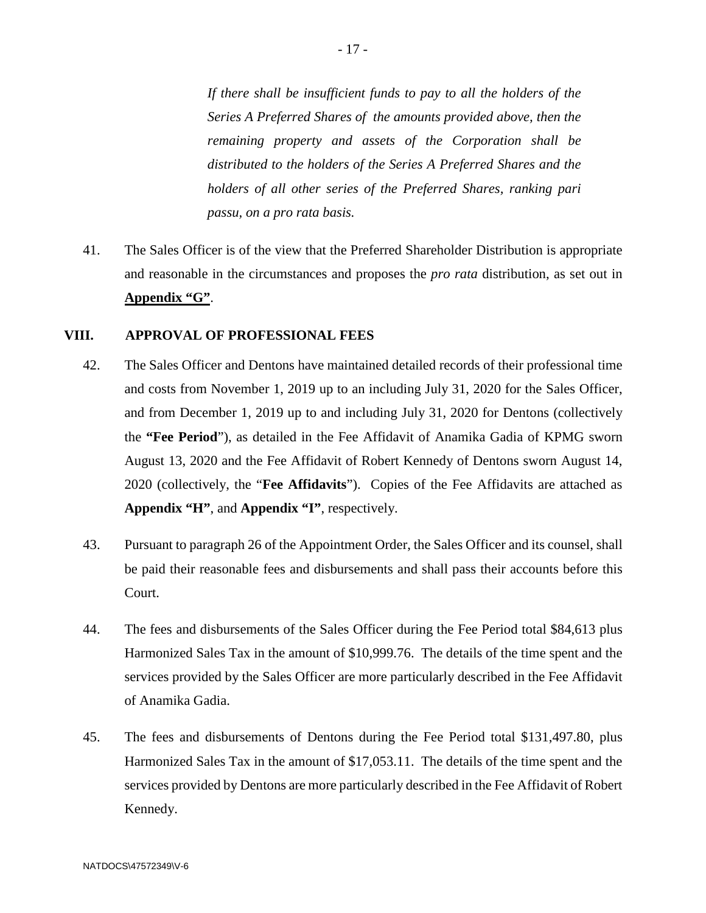*If there shall be insufficient funds to pay to all the holders of the Series A Preferred Shares of the amounts provided above, then the remaining property and assets of the Corporation shall be distributed to the holders of the Series A Preferred Shares and the holders of all other series of the Preferred Shares, ranking pari passu, on a pro rata basis.*

41. The Sales Officer is of the view that the Preferred Shareholder Distribution is appropriate and reasonable in the circumstances and proposes the *pro rata* distribution, as set out in **Appendix "G"**.

#### **VIII. APPROVAL OF PROFESSIONAL FEES**

- 42. The Sales Officer and Dentons have maintained detailed records of their professional time and costs from November 1, 2019 up to an including July 31, 2020 for the Sales Officer, and from December 1, 2019 up to and including July 31, 2020 for Dentons (collectively the **"Fee Period**"), as detailed in the Fee Affidavit of Anamika Gadia of KPMG sworn August 13, 2020 and the Fee Affidavit of Robert Kennedy of Dentons sworn August 14, 2020 (collectively, the "**Fee Affidavits**"). Copies of the Fee Affidavits are attached as **Appendix "H"**, and **Appendix "I"**, respectively.
- 43. Pursuant to paragraph 26 of the Appointment Order, the Sales Officer and its counsel, shall be paid their reasonable fees and disbursements and shall pass their accounts before this Court.
- 44. The fees and disbursements of the Sales Officer during the Fee Period total \$84,613 plus Harmonized Sales Tax in the amount of \$10,999.76. The details of the time spent and the services provided by the Sales Officer are more particularly described in the Fee Affidavit of Anamika Gadia.
- 45. The fees and disbursements of Dentons during the Fee Period total \$131,497.80, plus Harmonized Sales Tax in the amount of \$17,053.11. The details of the time spent and the services provided by Dentons are more particularly described in the Fee Affidavit of Robert Kennedy.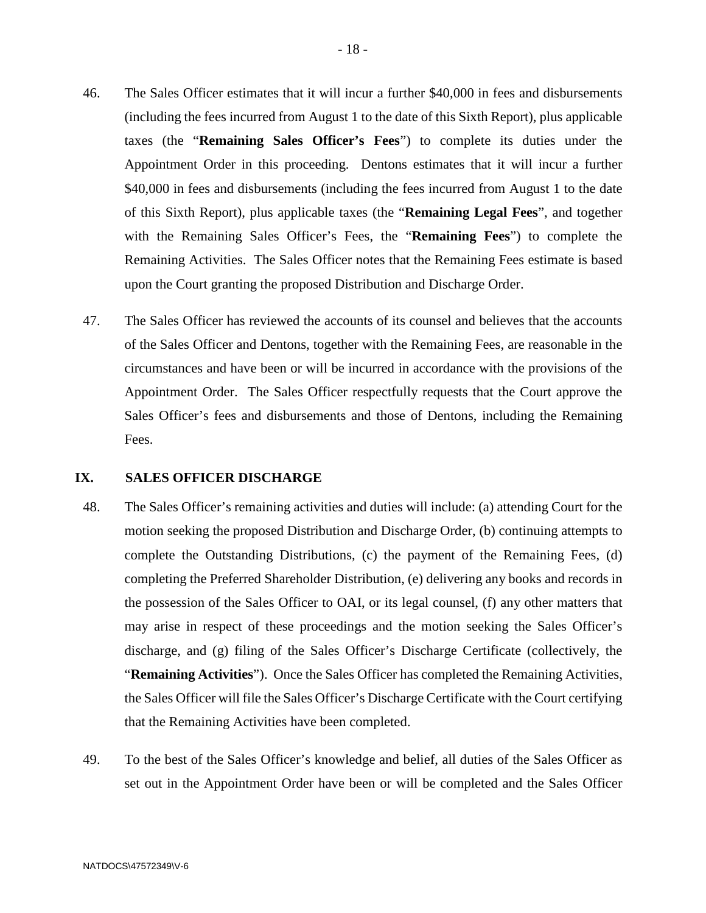- 46. The Sales Officer estimates that it will incur a further \$40,000 in fees and disbursements (including the fees incurred from August 1 to the date of this Sixth Report), plus applicable taxes (the "**Remaining Sales Officer's Fees**") to complete its duties under the Appointment Order in this proceeding. Dentons estimates that it will incur a further \$40,000 in fees and disbursements (including the fees incurred from August 1 to the date of this Sixth Report), plus applicable taxes (the "**Remaining Legal Fees**", and together with the Remaining Sales Officer's Fees, the "**Remaining Fees**") to complete the Remaining Activities. The Sales Officer notes that the Remaining Fees estimate is based upon the Court granting the proposed Distribution and Discharge Order.
- 47. The Sales Officer has reviewed the accounts of its counsel and believes that the accounts of the Sales Officer and Dentons, together with the Remaining Fees, are reasonable in the circumstances and have been or will be incurred in accordance with the provisions of the Appointment Order. The Sales Officer respectfully requests that the Court approve the Sales Officer's fees and disbursements and those of Dentons, including the Remaining Fees.

## **IX. SALES OFFICER DISCHARGE**

- 48. The Sales Officer's remaining activities and duties will include: (a) attending Court for the motion seeking the proposed Distribution and Discharge Order, (b) continuing attempts to complete the Outstanding Distributions, (c) the payment of the Remaining Fees, (d) completing the Preferred Shareholder Distribution, (e) delivering any books and records in the possession of the Sales Officer to OAI, or its legal counsel, (f) any other matters that may arise in respect of these proceedings and the motion seeking the Sales Officer's discharge, and (g) filing of the Sales Officer's Discharge Certificate (collectively, the "**Remaining Activities**"). Once the Sales Officer has completed the Remaining Activities, the Sales Officer will file the Sales Officer's Discharge Certificate with the Court certifying that the Remaining Activities have been completed.
- 49. To the best of the Sales Officer's knowledge and belief, all duties of the Sales Officer as set out in the Appointment Order have been or will be completed and the Sales Officer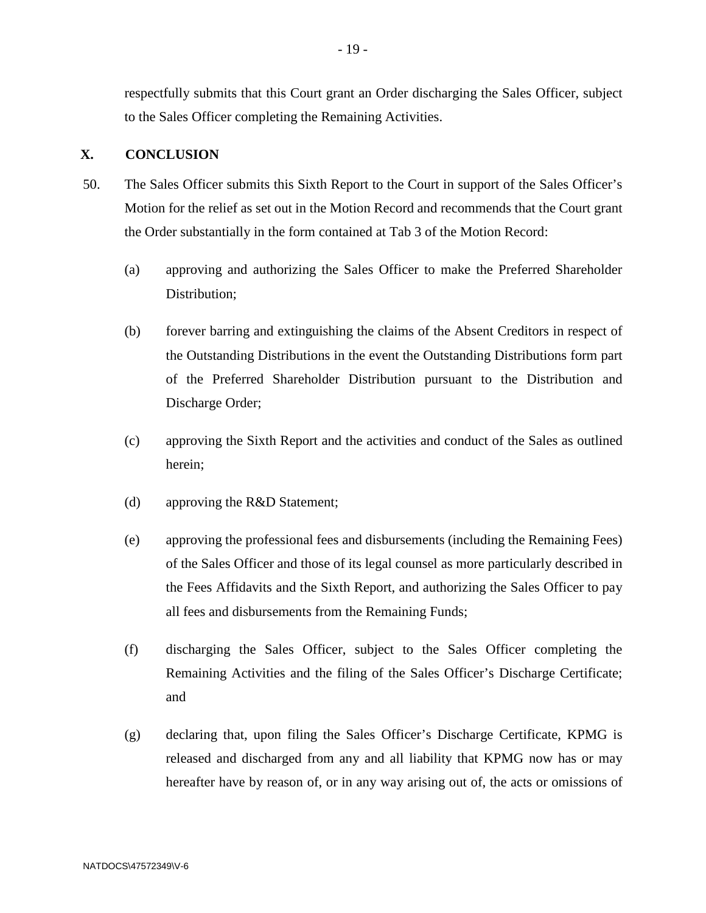respectfully submits that this Court grant an Order discharging the Sales Officer, subject to the Sales Officer completing the Remaining Activities.

## **X. CONCLUSION**

- 50. The Sales Officer submits this Sixth Report to the Court in support of the Sales Officer's Motion for the relief as set out in the Motion Record and recommends that the Court grant the Order substantially in the form contained at Tab 3 of the Motion Record:
	- (a) approving and authorizing the Sales Officer to make the Preferred Shareholder Distribution;
	- (b) forever barring and extinguishing the claims of the Absent Creditors in respect of the Outstanding Distributions in the event the Outstanding Distributions form part of the Preferred Shareholder Distribution pursuant to the Distribution and Discharge Order;
	- (c) approving the Sixth Report and the activities and conduct of the Sales as outlined herein;
	- (d) approving the R&D Statement;
	- (e) approving the professional fees and disbursements (including the Remaining Fees) of the Sales Officer and those of its legal counsel as more particularly described in the Fees Affidavits and the Sixth Report, and authorizing the Sales Officer to pay all fees and disbursements from the Remaining Funds;
	- (f) discharging the Sales Officer, subject to the Sales Officer completing the Remaining Activities and the filing of the Sales Officer's Discharge Certificate; and
	- (g) declaring that, upon filing the Sales Officer's Discharge Certificate, KPMG is released and discharged from any and all liability that KPMG now has or may hereafter have by reason of, or in any way arising out of, the acts or omissions of